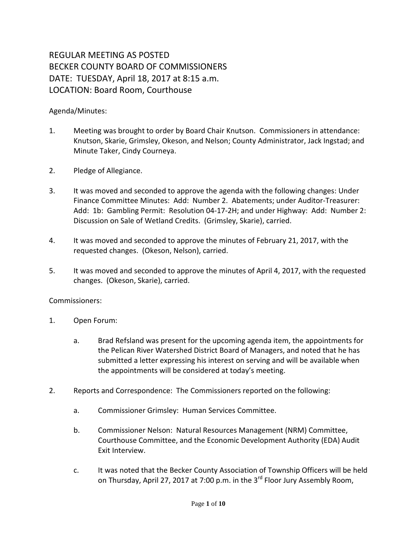## REGULAR MEETING AS POSTED BECKER COUNTY BOARD OF COMMISSIONERS DATE: TUESDAY, April 18, 2017 at 8:15 a.m. LOCATION: Board Room, Courthouse

## Agenda/Minutes:

- 1. Meeting was brought to order by Board Chair Knutson. Commissioners in attendance: Knutson, Skarie, Grimsley, Okeson, and Nelson; County Administrator, Jack Ingstad; and Minute Taker, Cindy Courneya.
- 2. Pledge of Allegiance.
- 3. It was moved and seconded to approve the agenda with the following changes: Under Finance Committee Minutes: Add: Number 2. Abatements; under Auditor-Treasurer: Add: 1b: Gambling Permit: Resolution 04-17-2H; and under Highway: Add: Number 2: Discussion on Sale of Wetland Credits. (Grimsley, Skarie), carried.
- 4. It was moved and seconded to approve the minutes of February 21, 2017, with the requested changes. (Okeson, Nelson), carried.
- 5. It was moved and seconded to approve the minutes of April 4, 2017, with the requested changes. (Okeson, Skarie), carried.

## Commissioners:

- 1. Open Forum:
	- a. Brad Refsland was present for the upcoming agenda item, the appointments for the Pelican River Watershed District Board of Managers, and noted that he has submitted a letter expressing his interest on serving and will be available when the appointments will be considered at today's meeting.
- 2. Reports and Correspondence: The Commissioners reported on the following:
	- a. Commissioner Grimsley: Human Services Committee.
	- b. Commissioner Nelson: Natural Resources Management (NRM) Committee, Courthouse Committee, and the Economic Development Authority (EDA) Audit Exit Interview.
	- c. It was noted that the Becker County Association of Township Officers will be held on Thursday, April 27, 2017 at 7:00 p.m. in the 3<sup>rd</sup> Floor Jury Assembly Room,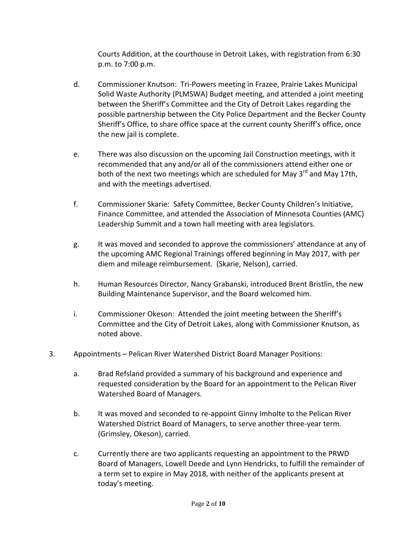Courts Addition, at the courthouse in Detroit Lakes, with registration from 6:30 p.m. to 7:00 p.m.

- d. Commissioner Knutson: Tri-Powers meeting in Frazee, Prairie Lakes Municipal Solid Waste Authority (PLMSWA) Budget meeting, and attended a joint meeting between the Sheriff's Committee and the City of Detroit Lakes regarding the possible partnership between the City Police Department and the Becker County Sheriff's Office, to share office space at the current county Sheriff's office, once the new jail is complete.
- e. There was also discussion on the upcoming Jail Construction meetings, with it recommended that any and/or all of the commissioners attend either one or both of the next two meetings which are scheduled for May 3<sup>rd</sup> and May 17th, and with the meetings advertised.
- f. Commissioner Skarie: Safety Committee, Becker County Children's Initiative, Finance Committee, and attended the Association of Minnesota Counties (AMC) Leadership Summit and a town hall meeting with area legislators.
- g. It was moved and seconded to approve the commissioners' attendance at any of the upcoming AMC Regional Trainings offered beginning in May 2017, with per diem and mileage reimbursement. (Skarie, Nelson), carried.
- h. Human Resources Director, Nancy Grabanski, introduced Brent Bristlin, the new Building Maintenance Supervisor, and the Board welcomed him.
- i. Commissioner Okeson: Attended the joint meeting between the Sheriff's Committee and the City of Detroit Lakes, along with Commissioner Knutson, as noted above.
- 3. Appointments Pelican River Watershed District Board Manager Positions:
	- a. Brad Refsland provided a summary of his background and experience and requested consideration by the Board for an appointment to the Pelican River Watershed Board of Managers.
	- b. It was moved and seconded to re-appoint Ginny Imholte to the Pelican River Watershed District Board of Managers, to serve another three-year term. (Grimsley, Okeson), carried.
	- c. Currently there are two applicants requesting an appointment to the PRWD Board of Managers, Lowell Deede and Lynn Hendricks, to fulfill the remainder of a term set to expire in May 2018, with neither of the applicants present at today's meeting.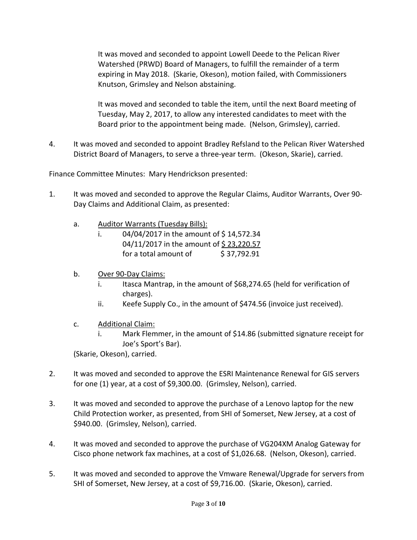It was moved and seconded to appoint Lowell Deede to the Pelican River Watershed (PRWD) Board of Managers, to fulfill the remainder of a term expiring in May 2018. (Skarie, Okeson), motion failed, with Commissioners Knutson, Grimsley and Nelson abstaining.

It was moved and seconded to table the item, until the next Board meeting of Tuesday, May 2, 2017, to allow any interested candidates to meet with the Board prior to the appointment being made. (Nelson, Grimsley), carried.

4. It was moved and seconded to appoint Bradley Refsland to the Pelican River Watershed District Board of Managers, to serve a three-year term. (Okeson, Skarie), carried.

Finance Committee Minutes: Mary Hendrickson presented:

- 1. It was moved and seconded to approve the Regular Claims, Auditor Warrants, Over 90- Day Claims and Additional Claim, as presented:
	- a. Auditor Warrants (Tuesday Bills):
		- i.  $04/04/2017$  in the amount of \$14,572.34 04/11/2017 in the amount of \$23,220.57 for a total amount of  $\frac{537,792.91}{5}$
	- b. Over 90-Day Claims:
		- i. Itasca Mantrap, in the amount of \$68,274.65 (held for verification of charges).
		- ii. Keefe Supply Co., in the amount of \$474.56 (invoice just received).
	- c. Additional Claim:
		- i. Mark Flemmer, in the amount of \$14.86 (submitted signature receipt for Joe's Sport's Bar).

(Skarie, Okeson), carried.

- 2. It was moved and seconded to approve the ESRI Maintenance Renewal for GIS servers for one (1) year, at a cost of \$9,300.00. (Grimsley, Nelson), carried.
- 3. It was moved and seconded to approve the purchase of a Lenovo laptop for the new Child Protection worker, as presented, from SHI of Somerset, New Jersey, at a cost of \$940.00. (Grimsley, Nelson), carried.
- 4. It was moved and seconded to approve the purchase of VG204XM Analog Gateway for Cisco phone network fax machines, at a cost of \$1,026.68. (Nelson, Okeson), carried.
- 5. It was moved and seconded to approve the Vmware Renewal/Upgrade for servers from SHI of Somerset, New Jersey, at a cost of \$9,716.00. (Skarie, Okeson), carried.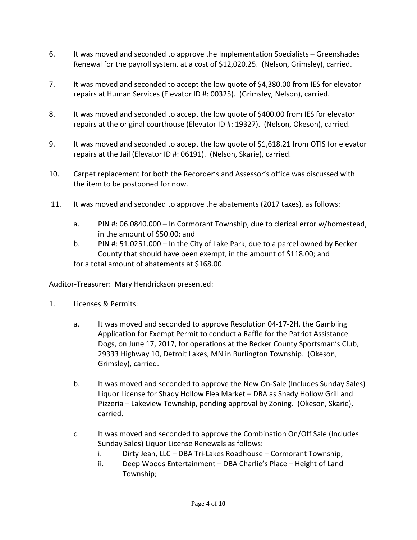- 6. It was moved and seconded to approve the Implementation Specialists Greenshades Renewal for the payroll system, at a cost of \$12,020.25. (Nelson, Grimsley), carried.
- 7. It was moved and seconded to accept the low quote of \$4,380.00 from IES for elevator repairs at Human Services (Elevator ID #: 00325). (Grimsley, Nelson), carried.
- 8. It was moved and seconded to accept the low quote of \$400.00 from IES for elevator repairs at the original courthouse (Elevator ID #: 19327). (Nelson, Okeson), carried.
- 9. It was moved and seconded to accept the low quote of \$1,618.21 from OTIS for elevator repairs at the Jail (Elevator ID #: 06191). (Nelson, Skarie), carried.
- 10. Carpet replacement for both the Recorder's and Assessor's office was discussed with the item to be postponed for now.
- 11. It was moved and seconded to approve the abatements (2017 taxes), as follows:
	- a. PIN #: 06.0840.000 In Cormorant Township, due to clerical error w/homestead, in the amount of \$50.00; and
	- b. PIN #: 51.0251.000 In the City of Lake Park, due to a parcel owned by Becker County that should have been exempt, in the amount of \$118.00; and for a total amount of abatements at \$168.00.

Auditor-Treasurer: Mary Hendrickson presented:

- 1. Licenses & Permits:
	- a. It was moved and seconded to approve Resolution 04-17-2H, the Gambling Application for Exempt Permit to conduct a Raffle for the Patriot Assistance Dogs, on June 17, 2017, for operations at the Becker County Sportsman's Club, 29333 Highway 10, Detroit Lakes, MN in Burlington Township. (Okeson, Grimsley), carried.
	- b. It was moved and seconded to approve the New On-Sale (Includes Sunday Sales) Liquor License for Shady Hollow Flea Market – DBA as Shady Hollow Grill and Pizzeria – Lakeview Township, pending approval by Zoning. (Okeson, Skarie), carried.
	- c. It was moved and seconded to approve the Combination On/Off Sale (Includes Sunday Sales) Liquor License Renewals as follows:
		- i. Dirty Jean, LLC DBA Tri-Lakes Roadhouse Cormorant Township;
		- ii. Deep Woods Entertainment DBA Charlie's Place Height of Land Township;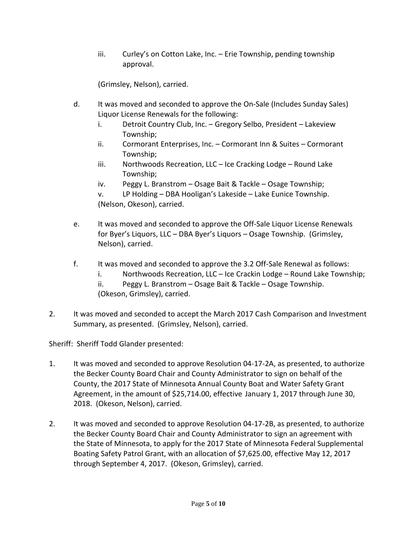iii. Curley's on Cotton Lake, Inc. – Erie Township, pending township approval.

(Grimsley, Nelson), carried.

- d. It was moved and seconded to approve the On-Sale (Includes Sunday Sales) Liquor License Renewals for the following:
	- i. Detroit Country Club, Inc. Gregory Selbo, President Lakeview Township;
	- ii. Cormorant Enterprises, Inc. Cormorant Inn & Suites Cormorant Township;
	- iii. Northwoods Recreation, LLC Ice Cracking Lodge Round Lake Township;
	- iv. Peggy L. Branstrom Osage Bait & Tackle Osage Township;
	- v. LP Holding DBA Hooligan's Lakeside Lake Eunice Township. (Nelson, Okeson), carried.
- e. It was moved and seconded to approve the Off-Sale Liquor License Renewals for Byer's Liquors, LLC – DBA Byer's Liquors – Osage Township. (Grimsley, Nelson), carried.
- f. It was moved and seconded to approve the 3.2 Off-Sale Renewal as follows:
	- i. Northwoods Recreation, LLC Ice Crackin Lodge Round Lake Township;
	- ii. Peggy L. Branstrom Osage Bait & Tackle Osage Township.
	- (Okeson, Grimsley), carried.
- 2. It was moved and seconded to accept the March 2017 Cash Comparison and Investment Summary, as presented. (Grimsley, Nelson), carried.

Sheriff: Sheriff Todd Glander presented:

- 1. It was moved and seconded to approve Resolution 04-17-2A, as presented, to authorize the Becker County Board Chair and County Administrator to sign on behalf of the County, the 2017 State of Minnesota Annual County Boat and Water Safety Grant Agreement, in the amount of \$25,714.00, effective January 1, 2017 through June 30, 2018. (Okeson, Nelson), carried.
- 2. It was moved and seconded to approve Resolution 04-17-2B, as presented, to authorize the Becker County Board Chair and County Administrator to sign an agreement with the State of Minnesota, to apply for the 2017 State of Minnesota Federal Supplemental Boating Safety Patrol Grant, with an allocation of \$7,625.00, effective May 12, 2017 through September 4, 2017. (Okeson, Grimsley), carried.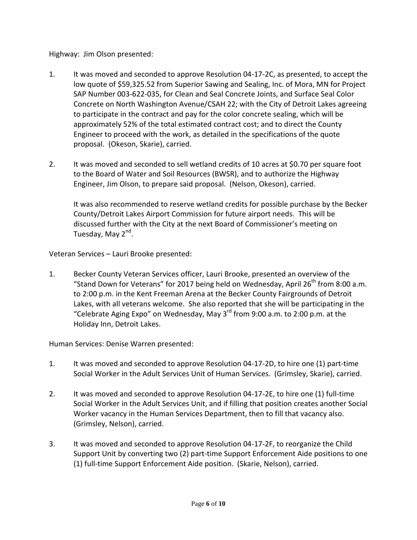Highway: Jim Olson presented:

- 1. It was moved and seconded to approve Resolution 04-17-2C, as presented, to accept the low quote of \$59,325.52 from Superior Sawing and Sealing, Inc. of Mora, MN for Project SAP Number 003-622-035, for Clean and Seal Concrete Joints, and Surface Seal Color Concrete on North Washington Avenue/CSAH 22; with the City of Detroit Lakes agreeing to participate in the contract and pay for the color concrete sealing, which will be approximately 52% of the total estimated contract cost; and to direct the County Engineer to proceed with the work, as detailed in the specifications of the quote proposal. (Okeson, Skarie), carried.
- 2. It was moved and seconded to sell wetland credits of 10 acres at \$0.70 per square foot to the Board of Water and Soil Resources (BWSR), and to authorize the Highway Engineer, Jim Olson, to prepare said proposal. (Nelson, Okeson), carried.

It was also recommended to reserve wetland credits for possible purchase by the Becker County/Detroit Lakes Airport Commission for future airport needs. This will be discussed further with the City at the next Board of Commissioner's meeting on Tuesday, May 2<sup>nd</sup>.

Veteran Services – Lauri Brooke presented:

1. Becker County Veteran Services officer, Lauri Brooke, presented an overview of the "Stand Down for Veterans" for 2017 being held on Wednesday, April  $26<sup>th</sup>$  from 8:00 a.m. to 2:00 p.m. in the Kent Freeman Arena at the Becker County Fairgrounds of Detroit Lakes, with all veterans welcome. She also reported that she will be participating in the "Celebrate Aging Expo" on Wednesday, May 3rd from 9:00 a.m. to 2:00 p.m. at the Holiday Inn, Detroit Lakes.

Human Services: Denise Warren presented:

- 1. It was moved and seconded to approve Resolution 04-17-2D, to hire one (1) part-time Social Worker in the Adult Services Unit of Human Services. (Grimsley, Skarie), carried.
- 2. It was moved and seconded to approve Resolution 04-17-2E, to hire one (1) full-time Social Worker in the Adult Services Unit, and if filling that position creates another Social Worker vacancy in the Human Services Department, then to fill that vacancy also. (Grimsley, Nelson), carried.
- 3. It was moved and seconded to approve Resolution 04-17-2F, to reorganize the Child Support Unit by converting two (2) part-time Support Enforcement Aide positions to one (1) full-time Support Enforcement Aide position. (Skarie, Nelson), carried.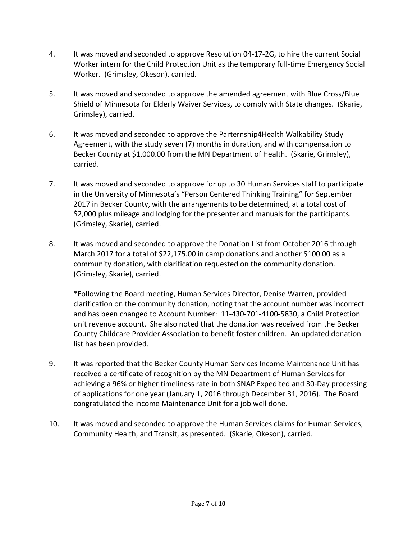- 4. It was moved and seconded to approve Resolution 04-17-2G, to hire the current Social Worker intern for the Child Protection Unit as the temporary full-time Emergency Social Worker. (Grimsley, Okeson), carried.
- 5. It was moved and seconded to approve the amended agreement with Blue Cross/Blue Shield of Minnesota for Elderly Waiver Services, to comply with State changes. (Skarie, Grimsley), carried.
- 6. It was moved and seconded to approve the Parternship4Health Walkability Study Agreement, with the study seven (7) months in duration, and with compensation to Becker County at \$1,000.00 from the MN Department of Health. (Skarie, Grimsley), carried.
- 7. It was moved and seconded to approve for up to 30 Human Services staff to participate in the University of Minnesota's "Person Centered Thinking Training" for September 2017 in Becker County, with the arrangements to be determined, at a total cost of \$2,000 plus mileage and lodging for the presenter and manuals for the participants. (Grimsley, Skarie), carried.
- 8. It was moved and seconded to approve the Donation List from October 2016 through March 2017 for a total of \$22,175.00 in camp donations and another \$100.00 as a community donation, with clarification requested on the community donation. (Grimsley, Skarie), carried.

\*Following the Board meeting, Human Services Director, Denise Warren, provided clarification on the community donation, noting that the account number was incorrect and has been changed to Account Number: 11-430-701-4100-5830, a Child Protection unit revenue account. She also noted that the donation was received from the Becker County Childcare Provider Association to benefit foster children. An updated donation list has been provided.

- 9. It was reported that the Becker County Human Services Income Maintenance Unit has received a certificate of recognition by the MN Department of Human Services for achieving a 96% or higher timeliness rate in both SNAP Expedited and 30-Day processing of applications for one year (January 1, 2016 through December 31, 2016). The Board congratulated the Income Maintenance Unit for a job well done.
- 10. It was moved and seconded to approve the Human Services claims for Human Services, Community Health, and Transit, as presented. (Skarie, Okeson), carried.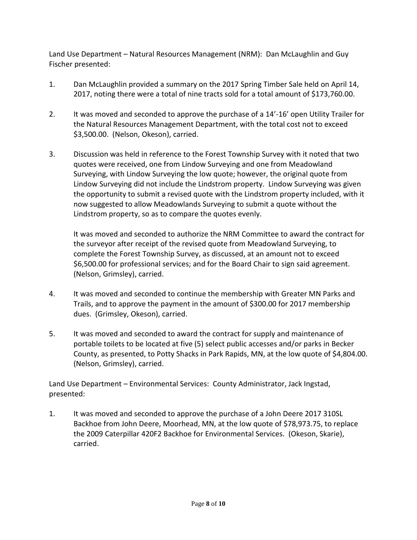Land Use Department – Natural Resources Management (NRM): Dan McLaughlin and Guy Fischer presented:

- 1. Dan McLaughlin provided a summary on the 2017 Spring Timber Sale held on April 14, 2017, noting there were a total of nine tracts sold for a total amount of \$173,760.00.
- 2. It was moved and seconded to approve the purchase of a 14'-16' open Utility Trailer for the Natural Resources Management Department, with the total cost not to exceed \$3,500.00. (Nelson, Okeson), carried.
- 3. Discussion was held in reference to the Forest Township Survey with it noted that two quotes were received, one from Lindow Surveying and one from Meadowland Surveying, with Lindow Surveying the low quote; however, the original quote from Lindow Surveying did not include the Lindstrom property. Lindow Surveying was given the opportunity to submit a revised quote with the Lindstrom property included, with it now suggested to allow Meadowlands Surveying to submit a quote without the Lindstrom property, so as to compare the quotes evenly.

It was moved and seconded to authorize the NRM Committee to award the contract for the surveyor after receipt of the revised quote from Meadowland Surveying, to complete the Forest Township Survey, as discussed, at an amount not to exceed \$6,500.00 for professional services; and for the Board Chair to sign said agreement. (Nelson, Grimsley), carried.

- 4. It was moved and seconded to continue the membership with Greater MN Parks and Trails, and to approve the payment in the amount of \$300.00 for 2017 membership dues. (Grimsley, Okeson), carried.
- 5. It was moved and seconded to award the contract for supply and maintenance of portable toilets to be located at five (5) select public accesses and/or parks in Becker County, as presented, to Potty Shacks in Park Rapids, MN, at the low quote of \$4,804.00. (Nelson, Grimsley), carried.

Land Use Department – Environmental Services: County Administrator, Jack Ingstad, presented:

1. It was moved and seconded to approve the purchase of a John Deere 2017 310SL Backhoe from John Deere, Moorhead, MN, at the low quote of \$78,973.75, to replace the 2009 Caterpillar 420F2 Backhoe for Environmental Services. (Okeson, Skarie), carried.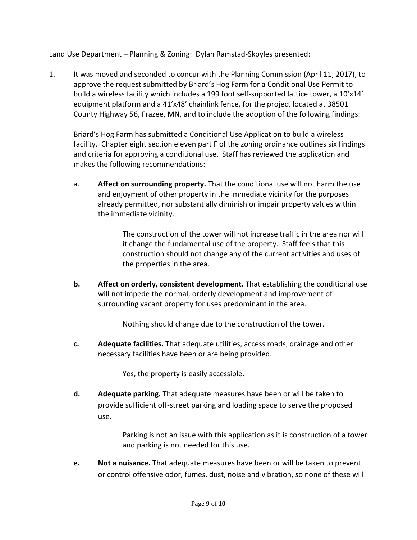Land Use Department – Planning & Zoning: Dylan Ramstad-Skoyles presented:

1. It was moved and seconded to concur with the Planning Commission (April 11, 2017), to approve the request submitted by Briard's Hog Farm for a Conditional Use Permit to build a wireless facility which includes a 199 foot self-supported lattice tower, a 10'x14' equipment platform and a 41'x48' chainlink fence, for the project located at 38501 County Highway 56, Frazee, MN, and to include the adoption of the following findings:

Briard's Hog Farm has submitted a Conditional Use Application to build a wireless facility. Chapter eight section eleven part F of the zoning ordinance outlines six findings and criteria for approving a conditional use. Staff has reviewed the application and makes the following recommendations:

a. **Affect on surrounding property.** That the conditional use will not harm the use and enjoyment of other property in the immediate vicinity for the purposes already permitted, nor substantially diminish or impair property values within the immediate vicinity.

> The construction of the tower will not increase traffic in the area nor will it change the fundamental use of the property. Staff feels that this construction should not change any of the current activities and uses of the properties in the area.

**b. Affect on orderly, consistent development.** That establishing the conditional use will not impede the normal, orderly development and improvement of surrounding vacant property for uses predominant in the area.

Nothing should change due to the construction of the tower.

**c. Adequate facilities.** That adequate utilities, access roads, drainage and other necessary facilities have been or are being provided.

Yes, the property is easily accessible.

**d. Adequate parking.** That adequate measures have been or will be taken to provide sufficient off-street parking and loading space to serve the proposed use.

> Parking is not an issue with this application as it is construction of a tower and parking is not needed for this use.

**e. Not a nuisance.** That adequate measures have been or will be taken to prevent or control offensive odor, fumes, dust, noise and vibration, so none of these will